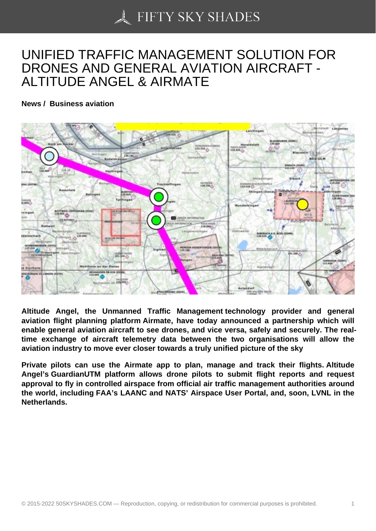## [UNIFIED TRAFFIC MA](https://50skyshades.com)NAGEMENT SOLUTION FOR DRONES AND GENERAL AVIATION AIRCRAFT - ALTITUDE ANGEL & AIRMATE

News / Business aviation

Altitude Angel, the Unmanned Traffic Management technology provider and general aviation flight planning platform Airmate, have today announced a partnership which will enable general aviation aircraft to see drones, and vice versa, safely and securely. The realtime exchange of aircraft telemetry data between the two organisations will allow the aviation industry to move ever closer towards a truly unified picture of the sky

Private pilots can use the Airmate app to plan, manage and track their flights. Altitude Angel's GuardianUTM platform allows drone pilots to submit flight reports and request approval to fly in controlled airspace from official air traffic management authorities around the world, including FAA's LAANC and NATS' Airspace User Portal, and, soon, LVNL in the **Netherlands**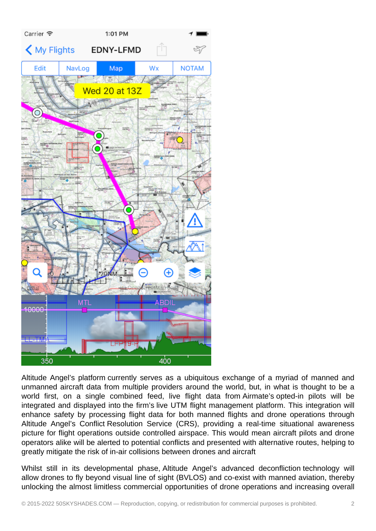

Altitude Angel's platform currently serves as a ubiquitous exchange of a myriad of manned and unmanned aircraft data from multiple providers around the world, but, in what is thought to be a world first, on a single combined feed, live flight data from Airmate's opted-in pilots will be integrated and displayed into the firm's live UTM flight management platform. This integration will enhance safety by processing flight data for both manned flights and drone operations through Altitude Angel's Conflict Resolution Service (CRS), providing a real-time situational awareness picture for flight operations outside controlled airspace. This would mean aircraft pilots and drone operators alike will be alerted to potential conflicts and presented with alternative routes, helping to greatly mitigate the risk of in-air collisions between drones and aircraft

Whilst still in its developmental phase, Altitude Angel's advanced deconfliction technology will allow drones to fly beyond visual line of sight (BVLOS) and co-exist with manned aviation, thereby unlocking the almost limitless commercial opportunities of drone operations and increasing overall